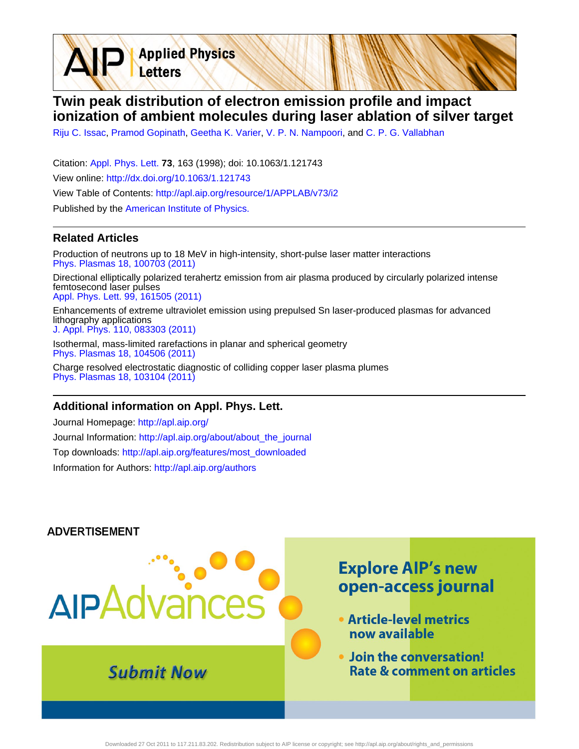**Twin peak distribution of electron emission profile and impact ionization of ambient molecules during laser ablation of silver target**

[Riju C. Issac](http://apl.aip.org/search?sortby=newestdate&q=&searchzone=2&searchtype=searchin&faceted=faceted&key=AIP_ALL&possible1=Riju C. Issac&possible1zone=author&alias=&displayid=AIP&ver=pdfcov), [Pramod Gopinath](http://apl.aip.org/search?sortby=newestdate&q=&searchzone=2&searchtype=searchin&faceted=faceted&key=AIP_ALL&possible1=Pramod Gopinath&possible1zone=author&alias=&displayid=AIP&ver=pdfcov), [Geetha K. Varier](http://apl.aip.org/search?sortby=newestdate&q=&searchzone=2&searchtype=searchin&faceted=faceted&key=AIP_ALL&possible1=Geetha K. Varier&possible1zone=author&alias=&displayid=AIP&ver=pdfcov), [V. P. N. Nampoori](http://apl.aip.org/search?sortby=newestdate&q=&searchzone=2&searchtype=searchin&faceted=faceted&key=AIP_ALL&possible1=V. P. N. Nampoori&possible1zone=author&alias=&displayid=AIP&ver=pdfcov), and [C. P. G. Vallabhan](http://apl.aip.org/search?sortby=newestdate&q=&searchzone=2&searchtype=searchin&faceted=faceted&key=AIP_ALL&possible1=C. P. G. Vallabhan&possible1zone=author&alias=&displayid=AIP&ver=pdfcov)

Citation: [Appl. Phys. Lett.](http://apl.aip.org/?ver=pdfcov) **73**, 163 (1998); doi: 10.1063/1.121743 View online: [http://dx.doi.org/10.1063/1.121743](http://link.aip.org/link/doi/10.1063/1.121743?ver=pdfcov) View Table of Contents: [http://apl.aip.org/resource/1/APPLAB/v73/i2](http://apl.aip.org/resource/1/APPLAB/v73/i2?ver=pdfcov) Published by the [American Institute of Physics.](http://www.aip.org/?ver=pdfcov)

**Applied Physics** 

Letters

## **Related Articles**

Production of neutrons up to 18 MeV in high-intensity, short-pulse laser matter interactions [Phys. Plasmas 18, 100703 \(2011\)](http://link.aip.org/link/doi/10.1063/1.3654040?ver=pdfcov)

Directional elliptically polarized terahertz emission from air plasma produced by circularly polarized intense femtosecond laser pulses [Appl. Phys. Lett. 99, 161505 \(2011\)](http://link.aip.org/link/doi/10.1063/1.3651764?ver=pdfcov)

Enhancements of extreme ultraviolet emission using prepulsed Sn laser-produced plasmas for advanced lithography applications [J. Appl. Phys. 110, 083303 \(2011\)](http://link.aip.org/link/doi/10.1063/1.3647779?ver=pdfcov)

Isothermal, mass-limited rarefactions in planar and spherical geometry [Phys. Plasmas 18, 104506 \(2011\)](http://link.aip.org/link/doi/10.1063/1.3642612?ver=pdfcov)

Charge resolved electrostatic diagnostic of colliding copper laser plasma plumes [Phys. Plasmas 18, 103104 \(2011\)](http://link.aip.org/link/doi/10.1063/1.3633486?ver=pdfcov)

## **Additional information on Appl. Phys. Lett.**

Journal Homepage: [http://apl.aip.org/](http://apl.aip.org/?ver=pdfcov) Journal Information: [http://apl.aip.org/about/about\\_the\\_journal](http://apl.aip.org/about/about_the_journal?ver=pdfcov) Top downloads: [http://apl.aip.org/features/most\\_downloaded](http://apl.aip.org/features/most_downloaded?ver=pdfcov) Information for Authors: [http://apl.aip.org/authors](http://apl.aip.org/authors?ver=pdfcov)

#### **ADVERTISEMENT**

# **Explore AIP's new** open-access journal **AIPAdva** • Article-level metrics now available . Join the conversation! **Submit Now Rate & comment on articles**

Downloaded 27 Oct 2011 to 117.211.83.202. Redistribution subject to AIP license or copyright; see http://apl.aip.org/about/rights\_and\_permissions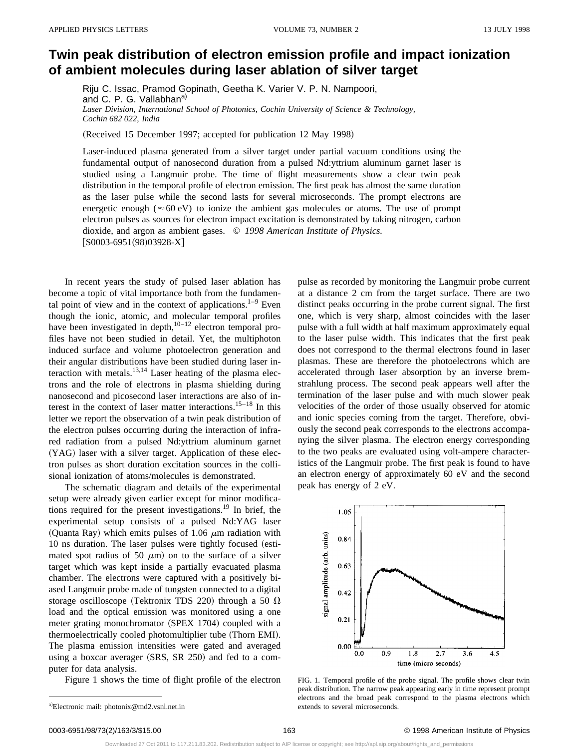# **Twin peak distribution of electron emission profile and impact ionization of ambient molecules during laser ablation of silver target**

Riju C. Issac, Pramod Gopinath, Geetha K. Varier V. P. N. Nampoori, and C. P. G. Vallabhan<sup>a)</sup> *Laser Division, International School of Photonics, Cochin University of Science & Technology, Cochin 682 022, India*

(Received 15 December 1997; accepted for publication 12 May 1998)

Laser-induced plasma generated from a silver target under partial vacuum conditions using the fundamental output of nanosecond duration from a pulsed Nd:yttrium aluminum garnet laser is studied using a Langmuir probe. The time of flight measurements show a clear twin peak distribution in the temporal profile of electron emission. The first peak has almost the same duration as the laser pulse while the second lasts for several microseconds. The prompt electrons are energetic enough ( $\approx 60 \text{ eV}$ ) to ionize the ambient gas molecules or atoms. The use of prompt electron pulses as sources for electron impact excitation is demonstrated by taking nitrogen, carbon dioxide, and argon as ambient gases. © *1998 American Institute of Physics.*  $[50003-6951(98)03928-X]$ 

In recent years the study of pulsed laser ablation has become a topic of vital importance both from the fundamental point of view and in the context of applications. $1-9$  Even though the ionic, atomic, and molecular temporal profiles have been investigated in depth, $10^{-12}$  electron temporal profiles have not been studied in detail. Yet, the multiphoton induced surface and volume photoelectron generation and their angular distributions have been studied during laser interaction with metals. $13,14$  Laser heating of the plasma electrons and the role of electrons in plasma shielding during nanosecond and picosecond laser interactions are also of interest in the context of laser matter interactions.15–18 In this letter we report the observation of a twin peak distribution of the electron pulses occurring during the interaction of infrared radiation from a pulsed Nd:yttrium aluminum garnet (YAG) laser with a silver target. Application of these electron pulses as short duration excitation sources in the collisional ionization of atoms/molecules is demonstrated.

The schematic diagram and details of the experimental setup were already given earlier except for minor modifications required for the present investigations.19 In brief, the experimental setup consists of a pulsed Nd:YAG laser (Quanta Ray) which emits pulses of 1.06  $\mu$ m radiation with 10 ns duration. The laser pulses were tightly focused (estimated spot radius of 50  $\mu$ m) on to the surface of a silver target which was kept inside a partially evacuated plasma chamber. The electrons were captured with a positively biased Langmuir probe made of tungsten connected to a digital storage oscilloscope (Tektronix TDS 220) through a 50  $\Omega$ load and the optical emission was monitored using a one meter grating monochromator (SPEX 1704) coupled with a thermoelectrically cooled photomultiplier tube (Thorn EMI). The plasma emission intensities were gated and averaged using a boxcar averager  $(SRS, SR 250)$  and fed to a computer for data analysis.

Figure 1 shows the time of flight profile of the electron

pulse as recorded by monitoring the Langmuir probe current at a distance 2 cm from the target surface. There are two distinct peaks occurring in the probe current signal. The first one, which is very sharp, almost coincides with the laser pulse with a full width at half maximum approximately equal to the laser pulse width. This indicates that the first peak does not correspond to the thermal electrons found in laser plasmas. These are therefore the photoelectrons which are accelerated through laser absorption by an inverse bremstrahlung process. The second peak appears well after the termination of the laser pulse and with much slower peak velocities of the order of those usually observed for atomic and ionic species coming from the target. Therefore, obviously the second peak corresponds to the electrons accompanying the silver plasma. The electron energy corresponding to the two peaks are evaluated using volt-ampere characteristics of the Langmuir probe. The first peak is found to have an electron energy of approximately 60 eV and the second peak has energy of 2 eV.



FIG. 1. Temporal profile of the probe signal. The profile shows clear twin peak distribution. The narrow peak appearing early in time represent prompt electrons and the broad peak correspond to the plasma electrons which extends to several microseconds.

Downloaded 27 Oct 2011 to 117.211.83.202. Redistribution subject to AIP license or copyright; see http://apl.aip.org/about/rights\_and\_permissions

a)Electronic mail: photonix@md2.vsnl.net.in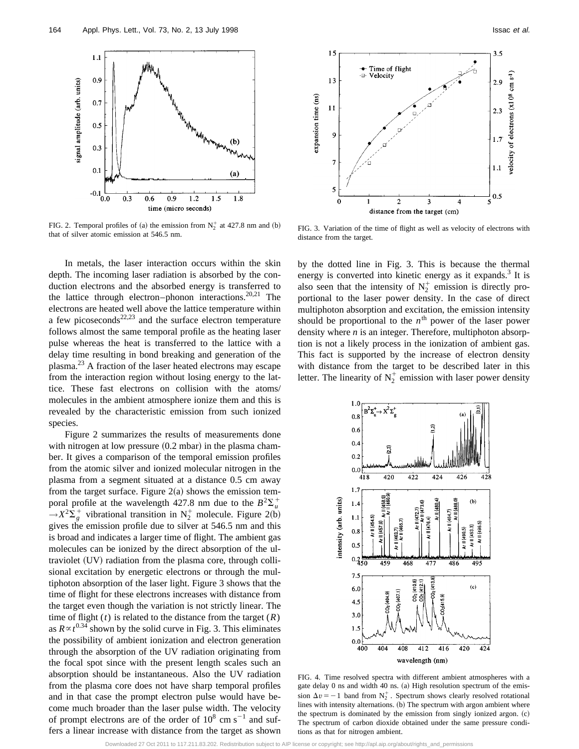

FIG. 2. Temporal profiles of (a) the emission from  $N_2^+$  at 427.8 nm and (b) FIG. 2. Temporal profiles of (a) the emission from  $N_2$  at 427.8 nm and (b) FIG. 3. Variation of the time of flight as well as velocity of electrons with that of silver atomic emission at 546.5 nm.

In metals, the laser interaction occurs within the skin depth. The incoming laser radiation is absorbed by the conduction electrons and the absorbed energy is transferred to the lattice through electron–phonon interactions.<sup>20,21</sup> The electrons are heated well above the lattice temperature within a few picoseconds $22,23$  and the surface electron temperature follows almost the same temporal profile as the heating laser pulse whereas the heat is transferred to the lattice with a delay time resulting in bond breaking and generation of the plasma. $^{23}$  A fraction of the laser heated electrons may escape from the interaction region without losing energy to the lattice. These fast electrons on collision with the atoms/ molecules in the ambient atmosphere ionize them and this is revealed by the characteristic emission from such ionized species.

Figure 2 summarizes the results of measurements done with nitrogen at low pressure  $(0.2 \text{ mbar})$  in the plasma chamber. It gives a comparison of the temporal emission profiles from the atomic silver and ionized molecular nitrogen in the plasma from a segment situated at a distance 0.5 cm away from the target surface. Figure  $2(a)$  shows the emission temporal profile at the wavelength 427.8 nm due to the  $B^2\Sigma_u^+$  $\rightarrow X^2\Sigma_g^+$  vibrational transition in  $N_2^+$  molecule. Figure 2(b) gives the emission profile due to silver at 546.5 nm and this is broad and indicates a larger time of flight. The ambient gas molecules can be ionized by the direct absorption of the ultraviolet (UV) radiation from the plasma core, through collisional excitation by energetic electrons or through the multiphoton absorption of the laser light. Figure 3 shows that the time of flight for these electrons increases with distance from the target even though the variation is not strictly linear. The time of flight  $(t)$  is related to the distance from the target  $(R)$ as  $R \propto t^{0.34}$  shown by the solid curve in Fig. 3. This eliminates the possibility of ambient ionization and electron generation through the absorption of the UV radiation originating from the focal spot since with the present length scales such an absorption should be instantaneous. Also the UV radiation from the plasma core does not have sharp temporal profiles and in that case the prompt electron pulse would have become much broader than the laser pulse width. The velocity of prompt electrons are of the order of  $10^8$  cm s<sup>-1</sup> and suffers a linear increase with distance from the target as shown



distance from the target.

by the dotted line in Fig. 3. This is because the thermal energy is converted into kinetic energy as it expands.<sup>3</sup> It is also seen that the intensity of  $N_2^+$  emission is directly proportional to the laser power density. In the case of direct multiphoton absorption and excitation, the emission intensity should be proportional to the  $n<sup>th</sup>$  power of the laser power density where *n* is an integer. Therefore, multiphoton absorption is not a likely process in the ionization of ambient gas. This fact is supported by the increase of electron density with distance from the target to be described later in this letter. The linearity of  $N_2^+$  emission with laser power density



FIG. 4. Time resolved spectra with different ambient atmospheres with a gate delay 0 ns and width 40 ns. (a) High resolution spectrum of the emission  $\Delta v = -1$  band from  $N_2^+$ . Spectrum shows clearly resolved rotational lines with intensity alternations. (b) The spectrum with argon ambient where the spectrum is dominated by the emission from singly ionized argon.  $(c)$ The spectrum of carbon dioxide obtained under the same pressure conditions as that for nitrogen ambient.